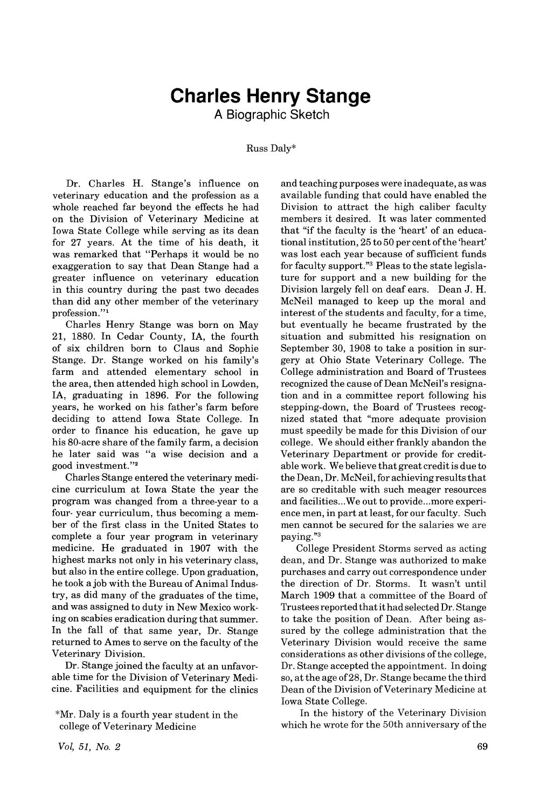## **Charles Henry Stange**

**A Biographic Sketch**

Russ Daly\*

Dr. Charles H. Stange's influence on veterinary education and the profession as a whole reached far beyond the effects he had on the Division of Veterinary Medicine at Iowa State College while serving as its dean for 27 years. At the time of his death, it was remarked that "Perhaps it would be no exaggeration to say that Dean Stange had a greater influence on veterinary education in this country during the past two decades than did any other member of the veterinary profession."<sup>1</sup>

Charles Henry Stange was born on May 21, 1880. In Cedar County, lA, the fourth of six children born to Claus and Sophie Stange. Dr. Stange worked on his family's farm and attended elementary school in the area, then attended high school in Lowden, lA, graduating in 1896. For the following years, he worked on his father's farm before deciding to attend Iowa State College. In order to finance his education, he gave up his 80-acre share of the family farm, a decision he later said was "a wise decision and a good investment."2

Charles·Stange entered the veterinary medicine curriculum at Iowa State the year the program was changed from a three-year to a four- year curriculum, thus becoming a member of the first class in the United States to complete a four year program in veterinary medicine. He graduated in 1907 with the highest marks not only in his veterinary class, but also in the entire college. Upon graduation, he took a job with the Bureau of Animal Industry, as did many of the graduates of the time, and was assigned to duty in New Mexico working on scabies eradication during that summer. In the fall of that same year, Dr. Stange returned to Ames to serve on the faculty of the Veterinary Division.

Dr. Stange joined the faculty at an unfavorable time for the Division of Veterinary Medicine. Facilities and equipment for the clinics and teaching purposes were inadequate, as was available funding that could have enabled the Division to attract the high caliber faculty members it desired. It was later commented that "if the faculty is the 'heart' of an educational institution, 25 to 50 per cent of the 'heart' was lost each year because of sufficient funds for faculty support."3 Pleas to the state legislature for support and a new building for the Division largely fell on deaf ears. Dean J. H. McNeil managed to keep up the moral and interest of the students and faculty, for a time, but eventually he became frustrated by the situation and submitted his resignation on September 30, 1908 to take a position in surgery at Ohio State Veterinary College. The College administration and Board of Trustees recognized the cause of Dean McNeil's resignation and in a committee report following his stepping-down, the Board of Trustees recognized stated that "more adequate provision must speedily be made for this Division of our college. We should either frankly abandon the Veterinary Department or provide for creditable work. We believe that great credit is due to the Dean, Dr. McNeil, for achieving results that are so creditable with such meager resources and facilities...We out to provide...more experience men, in part at least, for our faculty. Such men cannot be secured for the salaries we are paying."3

College President Storms served as acting dean, and Dr. Stange was authorized to make purchases and carry out correspondence under the direction of Dr. Storms. It wasn't until March 1909 that a committee of the Board of Trusteesreported thatithad selected Dr. Stange to take the position of Dean. *Mter* being assured by the college administration that the Veterinary Division would receive the same considerations as other divisions of the college, Dr. Stange accepted the appointment. In doing so, at the age of28, Dr. Stange became the third Dean of the Division of Veterinary Medicine at Iowa State College.

In the history of the Veterinary Division which he wrote for the 50th anniversary of the

<sup>\*</sup>Mr. Daly is a fourth year student in the college of Veterinary Medicine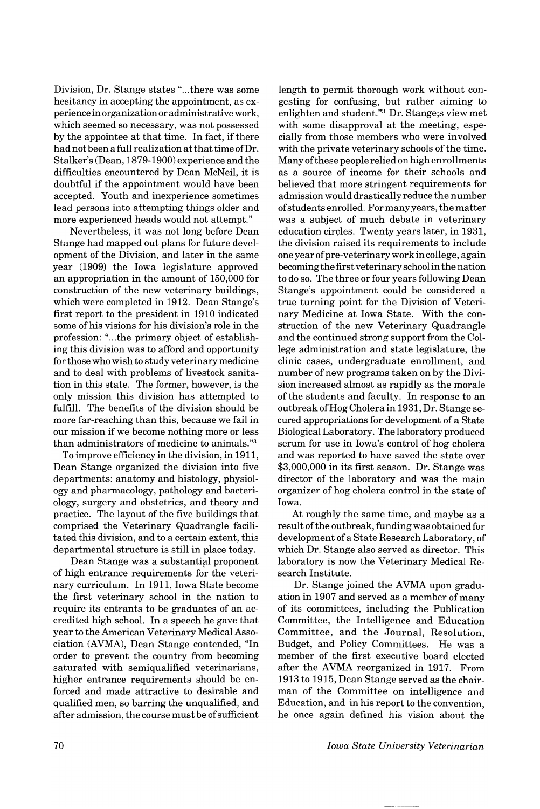Division, Dr. Stange states "...there was some hesitancy in accepting the appointment, as experience in organization or administrative work, which seemed so necessary, was not possessed by the appointee at that time. In fact, if there had not been a full realization at thattime ofDr. Stalker's (Dean, 1879-1900) experience and the difficulties encountered by Dean McNeil, it is doubtful if the appointment would have been accepted. Youth and inexperience sometimes lead persons into attempting things older and more experienced heads would not attempt."

Nevertheless, it was not long before Dean Stange had mapped out plans for future development of the Division, and later in the same year (1909) the Iowa legislature approved an appropriation in the amount of 150,000 for construction of the new veterinary buildings, which were completed in 1912. Dean Stange's first report to the president in 1910 indicated some of his visions for his division's role in the profession: "...the primary object of establishing this division was to afford and opportunity for those who wish to study veterinary medicine and to deal with problems of livestock sanitation in this state. The former, however, is the only mission this division has attempted to fulfill. The benefits of the division should be more far-reaching than this, because we fail in our mission if we become nothing more or less than administrators of medicine to animals."3

To improve efficiency in the division, in 1911, Dean Stange organized the division into five departments: anatomy and histology, physiology and pharmacology, pathology and bacteriology, surgery and obstetrics, and theory and practice. The layout of the five buildings that comprised the Veterinary Quadrangle facilitated this division, and to a certain extent, this departmental structure is still in place today.

Dean Stange was a substantial proponent of high entrance requirements for the veterinary curriculum. In 1911, Iowa State become the first veterinary school in the nation to require its entrants to be graduates of an accredited high school. In a speech he gave that year to the American Veterinary Medical Association (AVMA), Dean Stange contended, "In order to prevent the country from becoming saturated with semiqualified veterinarians, higher entrance requirements should be enforced and made attractive to desirable and qualified men, so barring the unqualified, and after admission, the course must be ofsufficient

length to permit thorough work without congesting for confusing, but rather aiming to enlighten and student."3 Dr. Stange;s view met with some disapproval at the meeting, especially from those members who were involved with the private veterinary schools of the time. Many ofthese people relied on high enrollments as a source of income for their schools and believed that more stringent requirements for admission would drastically reduce the number ofstudents enrolled. Formanyyears, thematter was a subject of much debate in veterinary education circles. Twenty years later, in 1931, the division raised its requirements to include one year of pre-veterinary work in college, again becomingthe first veterinary school in the nation to do so. The three or four years following Dean Stange's appointment could be considered a true turning point for the Division of Veterinary Medicine at Iowa State. With the construction of the new Veterinary Quadrangle and the continued strong support from the College administration and state legislature, the clinic cases, undergraduate enrollment, and number of new programs taken on by the Division increased almost as rapidly as the morale of the students and faculty. In response to an outbreak ofHog Cholera in 1931, Dr. Stange secured appropriations for development of a State Biological Laboratory. The laboratory produced serum for use in Iowa's control of hog cholera and was reported to have saved the state over \$3,000,000 in its first season. Dr. Stange was director of the laboratory and was the main organizer of hog cholera control in the state of Iowa.

At roughly the same time, and maybe as a result of the outbreak, funding was obtained for development ofa State Research Laboratory, of which Dr. Stange also served as director. This laboratory is now the Veterinary Medical Research Institute.

Dr. Stange joined the AVMA upon graduation in 1907 and served as a member of many of its committees, including the Publication Committee, the Intelligence and Education Committee, and the Journal, Resolution, Budget, and Policy Committees. He was a member of the first executive board elected after the AVMA reorganized in 1917. From 1913 to 1915, Dean Stange served as the chairman of the Committee on intelligence and Education, and in his report to the convention, he once again defined his vision about the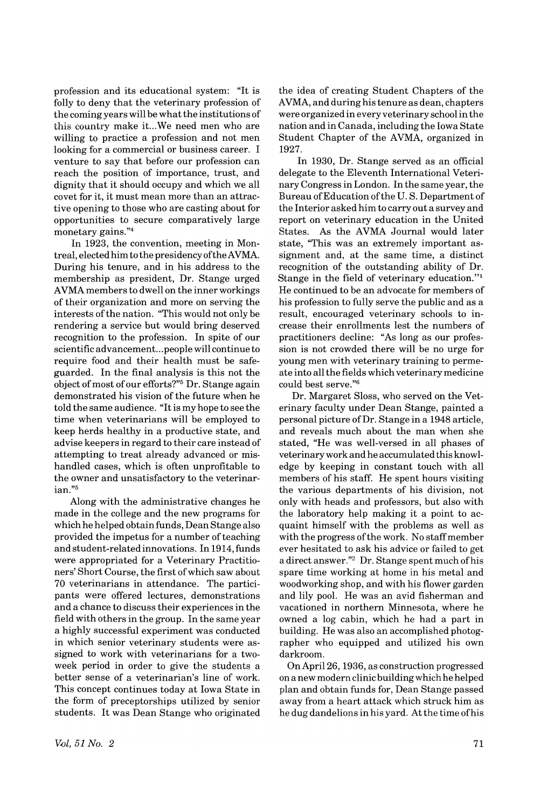profession and its educational system: "It is folly to deny that the veterinary profession of the coming years will be what the institutions of this country make it...We need men who are willing to practice a profession and not men looking for a commercial or business career. I venture to say that before our profession can reach the position of importance, trust, and dignity that it should occupy and which we all covet for it, it must mean more than an attractive opening to those who are casting about for opportunities to secure comparatively large monetary gains."4

In 1923, the convention, meeting in Montreal, elected himto the presidencyoftheAVMA. During his tenure, and in his address to the membership as president, Dr. Stange urged AVMA members to dwell on the inner workings of their organization and more on serving the interests of the nation. "This would not only be rendering a service but would bring deserved recognition to the profession. In spite of our scientific advancement...people will continue to require food and their health must be safeguarded. In the final analysis is this not the object of most of our efforts?"<sup>5</sup> Dr. Stange again demonstrated his vision of the future when he told the same audience. "It is my hope to see the time when veterinarians will be employed to keep herds healthy in a productive state, and advise keepers in regard to their care instead of attempting to treat already advanced or mishandled cases, which is often unprofitable to the owner and unsatisfactory to the veterinarian."5

Along with the administrative changes he made in the college and the new programs for which he helped obtain funds, Dean Stange also provided the impetus for a number of teaching and student-relatedinnovations. In 1914,funds were appropriated for a Veterinary Practitioners' Short Course, the first of which saw about 70 veterinarians in attendance. The participants were offered lectures, demonstrations and a chance to discuss their experiences in the field with others in the group. In the same year a highly successful experiment was conducted in which senior veterinary students were assigned to work with veterinarians for a twoweek period in order to give the students a better sense of a veterinarian's line of work. This concept continues today at Iowa State in the form of preceptorships utilized by senior students. It was Dean Stange who originated the idea of creating Student Chapters of the AVMA, and during histenure as dean, chapters were organized in every veterinary school inthe nation and in Canada, including the Iowa State Student Chapter of the AVMA, organized in 1927.

In 1930, Dr. Stange served as an official delegate to the Eleventh International Veterinary Congress in London. In the same year, the Bureau of Education of the U.S. Department of the Interior asked him to carry out a survey and report on veterinary education in the United States. As the AVMA Journal would later state, "This was an extremely important assignment and, at the same time, a distinct recognition of the outstanding ability of Dr. Stange in the field of veterinary education."<sup>1</sup> He continued to be an advocate for members of his profession to fully serve the public and as a result, encouraged veterinary schools to increase their enrollments lest the numbers of practitioners decline: "As long as our profession is not crowded there will be no urge for young men with veterinary training to permeate into all the fields which veterinary medicine could best serve."6

Dr. Margaret Sloss, who served on the Veterinary faculty under Dean Stange, painted a personal picture ofDr. Stange in a 1948 article, and reveals much about the man when she stated, "He was well-versed in all phases of veterinarywork and he accumulated this knowledge by keeping in constant touch with all members of his staff. He spent hours visiting the various departments of his division, not only with heads and professors, but also with the laboratory help making it a point to acquaint himself with the problems as well as with the progress of the work. No staff member ever hesitated to ask his advice or failed to get a direct answer."2 Dr. Stange spent much ofhis spare time working at home in his metal and woodworking shop, and with his flower garden and lily pool. He was an avid fisherman and vacationed in northern Minnesota, where he owned a log cabin, which he had a part in building. He was also an accomplished photographer who equipped and utilized his own darkroom.

On April 26, 1936, as construction progressed on a new modern clinic buildingwhich he helped plan and obtain funds for, Dean Stange passed away from a heart attack which struck him as he dug dandelions in his yard. At the time ofhis